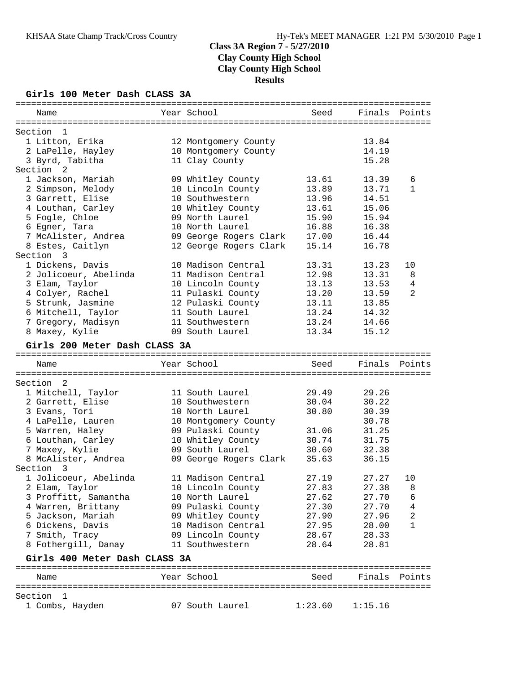### **Girls 100 Meter Dash CLASS 3A**

| Name                                                 | Year School                          | Seed           | Finals Points |        |
|------------------------------------------------------|--------------------------------------|----------------|---------------|--------|
|                                                      |                                      |                |               |        |
| Section<br>1                                         |                                      |                |               |        |
| 1 Litton, Erika                                      | 12 Montgomery County                 |                | 13.84         |        |
| 2 LaPelle, Hayley                                    | 10 Montgomery County                 |                | 14.19         |        |
| 3 Byrd, Tabitha                                      | 11 Clay County                       |                | 15.28         |        |
| Section <sub>2</sub>                                 |                                      |                |               |        |
| 1 Jackson, Mariah                                    | 09 Whitley County                    | 13.61          | 13.39         | 6      |
| 2 Simpson, Melody                                    | 10 Lincoln County                    | 13.89          | 13.71         | 1      |
| 3 Garrett, Elise                                     | 10 Southwestern                      | 13.96          | 14.51         |        |
| 4 Louthan, Carley                                    | 10 Whitley County                    | 13.61          | 15.06         |        |
| 5 Fogle, Chloe                                       | 09 North Laurel                      | 15.90          | 15.94         |        |
| 6 Egner, Tara                                        | 10 North Laurel                      | 16.88          | 16.38         |        |
| 7 McAlister, Andrea                                  | 09 George Rogers Clark               | 17.00          | 16.44         |        |
| 8 Estes, Caitlyn                                     | 12 George Rogers Clark               | 15.14          | 16.78         |        |
| Section 3                                            |                                      |                |               |        |
| 1 Dickens, Davis                                     | 10 Madison Central                   | 13.31          | 13.23         | 10     |
| 2 Jolicoeur, Abelinda                                | 11 Madison Central                   | 12.98          | 13.31         | 8      |
| 3 Elam, Taylor                                       | 10 Lincoln County                    | 13.13          | 13.53         | 4      |
| 4 Colyer, Rachel                                     | 11 Pulaski County                    | 13.20          | 13.59         | 2      |
| 5 Strunk, Jasmine                                    | 12 Pulaski County                    | 13.11          | 13.85         |        |
| 6 Mitchell, Taylor                                   | 11 South Laurel                      | 13.24          | 14.32         |        |
| 7 Gregory, Madisyn                                   | 11 Southwestern                      | 13.24          | 14.66         |        |
| 8 Maxey, Kylie                                       | 09 South Laurel                      | 13.34          | 15.12         |        |
| Girls 200 Meter Dash CLASS 3A                        |                                      |                |               |        |
| Name                                                 | Year School                          | Seed           | Finals        | Points |
|                                                      |                                      |                |               |        |
| Section 2                                            |                                      |                |               |        |
| 1 Mitchell, Taylor                                   | 11 South Laurel                      | 29.49          | 29.26         |        |
| 2 Garrett, Elise                                     | 10 Southwestern                      | 30.04          | 30.22         |        |
| 3 Evans, Tori                                        | 10 North Laurel                      | 30.80          | 30.39         |        |
| 4 LaPelle, Lauren                                    | 10 Montgomery County                 |                | 30.78         |        |
| 5 Warren, Haley                                      | 09 Pulaski County                    | 31.06          | 31.25         |        |
| 6 Louthan, Carley                                    | 10 Whitley County<br>09 South Laurel | 30.74          | 31.75         |        |
| 7 Maxey, Kylie<br>8 McAlister, Andrea                |                                      | 30.60          | 32.38         |        |
| Section 3                                            | 09 George Rogers Clark               | 35.63          | 36.15         |        |
|                                                      | 11 Madison Central                   | 27.19          | 27.27         | 10     |
| 1 Jolicoeur, Abelinda                                |                                      | 27.83          | 27.38         | 8      |
| 2 Elam, Taylor<br>3 Proffitt, Samantha               | 10 Lincoln County<br>10 North Laurel | 27.62          | 27.70         | 6      |
|                                                      | 09 Pulaski County                    |                | 27.70         |        |
| 4 Warren, Brittany                                   |                                      | 27.30<br>27.90 |               | 4      |
| 5 Jackson, Mariah                                    | 09 Whitley County                    |                | 27.96         | 2<br>1 |
| 6 Dickens, Davis                                     | 10 Madison Central                   | 27.95          | 28.00         |        |
| 7 Smith, Tracy                                       | 09 Lincoln County<br>11 Southwestern | 28.67<br>28.64 | 28.33         |        |
| 8 Fothergill, Danay<br>Girls 400 Meter Dash CLASS 3A |                                      |                | 28.81         |        |
|                                                      |                                      |                |               |        |
| Name                                                 | Year School                          | Seed           | Finals        | Points |
| Section<br>$\mathbf{1}$                              |                                      |                |               |        |
| 1 Combs, Hayden                                      | 07 South Laurel                      | 1:23.60        | 1:15.16       |        |
|                                                      |                                      |                |               |        |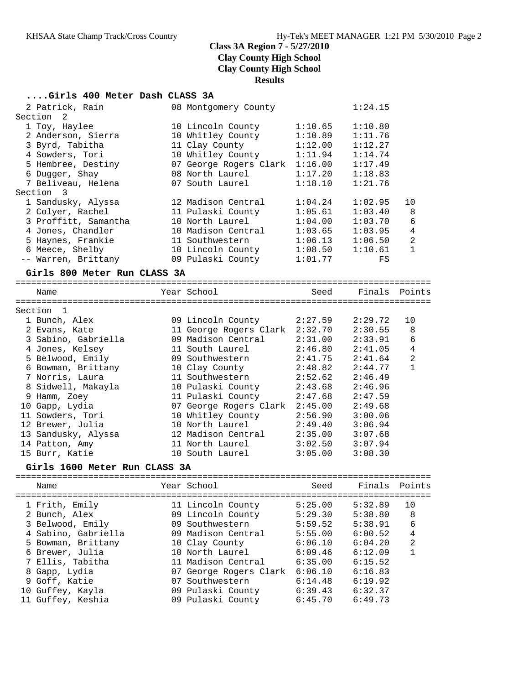#### **....Girls 400 Meter Dash CLASS 3A**

**Girls 1600 Meter Run CLASS 3A**

| 2 Patrick, Rain              | 08 Montgomery County           |                     | 1:24.15 |                |
|------------------------------|--------------------------------|---------------------|---------|----------------|
| Section<br>$\overline{2}$    |                                |                     |         |                |
| 1 Toy, Haylee                | 10 Lincoln County              | 1:10.65             | 1:10.80 |                |
| 2 Anderson, Sierra           | 10 Whitley County              | 1:10.89             | 1:11.76 |                |
| 3 Byrd, Tabitha              | 11 Clay County                 | 1:12.00             | 1:12.27 |                |
| 4 Sowders, Tori              | 10 Whitley County              | 1:11.94             | 1:14.74 |                |
| 5 Hembree, Destiny           | 07 George Rogers Clark 1:16.00 |                     | 1:17.49 |                |
| 6 Dugger, Shay               | 08 North Laurel                | 1:17.20             | 1:18.83 |                |
| 7 Beliveau, Helena           | 07 South Laurel                | 1:18.10             | 1:21.76 |                |
| Section 3                    |                                |                     |         |                |
| 1 Sandusky, Alyssa           | 12 Madison Central             | 1:04.24             | 1:02.95 | 10             |
| 2 Colyer, Rachel             | 11 Pulaski County              | 1:05.61             | 1:03.40 | 8              |
| 3 Proffitt, Samantha         | 10 North Laurel                | 1:04.00             | 1:03.70 | 6              |
| 4 Jones, Chandler            | 10 Madison Central             | 1:03.65             | 1:03.95 | $\overline{4}$ |
| 5 Haynes, Frankie            | 11 Southwestern                | 1:06.13             | 1:06.50 | $\overline{2}$ |
| 6 Meece, Shelby              | 10 Lincoln County 1:08.50      |                     | 1:10.61 | $\mathbf{1}$   |
| -- Warren, Brittany          | 09 Pulaski County              | 1:01.77             | FS      |                |
| Girls 800 Meter Run CLASS 3A |                                |                     |         |                |
|                              |                                |                     |         |                |
| Name                         | Year School                    | Seed                | Finals  | Points         |
|                              |                                |                     |         |                |
| Section <sub>1</sub>         |                                |                     |         |                |
| 1 Bunch, Alex                | 09 Lincoln County              | 2:27.59             | 2:29.72 | 10             |
| 2 Evans, Kate                | 11 George Rogers Clark 2:32.70 |                     | 2:30.55 | 8              |
| 3 Sabino, Gabriella          | 09 Madison Central             | 2:31.00             | 2:33.91 | 6              |
| 4 Jones, Kelsey              | 11 South Laurel                | $2:46.80$ $2:41.05$ |         | $\overline{4}$ |
| 5 Belwood, Emily             | 09 Southwestern 2:41.75        |                     | 2:41.64 | $\overline{a}$ |
| 6 Bowman, Brittany           | 10 Clay County                 | 2:48.82             | 2:44.77 | $\mathbf{1}$   |
| 7 Norris, Laura              | 11 Southwestern                | 2:52.62             | 2:46.49 |                |

 8 Sidwell, Makayla 10 Pulaski County 2:43.68 2:46.96 9 Hamm, Zoey 11 Pulaski County 2:47.68 2:47.59 10 Gapp, Lydia 07 George Rogers Clark 2:45.00 2:49.68 11 Sowders, Tori 10 Whitley County 2:56.90 3:00.06 12 Brewer, Julia 10 North Laurel 2:49.40 3:06.94 13 Sandusky, Alyssa 12 Madison Central 2:35.00 3:07.68 14 Patton, Amy 11 North Laurel 3:02.50 3:07.94 15 Burr, Katie 10 South Laurel 3:05.00 3:08.30

| Name                | Year School            | Seed    | Finals  | Points         |
|---------------------|------------------------|---------|---------|----------------|
| 1 Frith, Emily      | 11 Lincoln County      | 5:25.00 | 5:32.89 | 10             |
| 2 Bunch, Alex       | 09 Lincoln County      | 5:29.30 | 5:38.80 | 8              |
| 3 Belwood, Emily    | 09 Southwestern        | 5:59.52 | 5:38.91 | 6              |
| 4 Sabino, Gabriella | 09 Madison Central     | 5:55.00 | 6:00.52 | 4              |
| 5 Bowman, Brittany  | 10 Clay County         | 6:06.10 | 6:04.20 | $\overline{2}$ |
| 6 Brewer, Julia     | 10 North Laurel        | 6:09.46 | 6:12.09 |                |
| 7 Ellis, Tabitha    | 11 Madison Central     | 6:35.00 | 6:15.52 |                |
| 8 Gapp, Lydia       | 07 George Rogers Clark | 6:06.10 | 6:16.83 |                |
| 9 Goff, Katie       | 07 Southwestern        | 6:14.48 | 6:19.92 |                |
| 10 Guffey, Kayla    | 09 Pulaski County      | 6:39.43 | 6:32.37 |                |
| 11 Guffey, Keshia   | 09 Pulaski County      | 6:45.70 | 6:49.73 |                |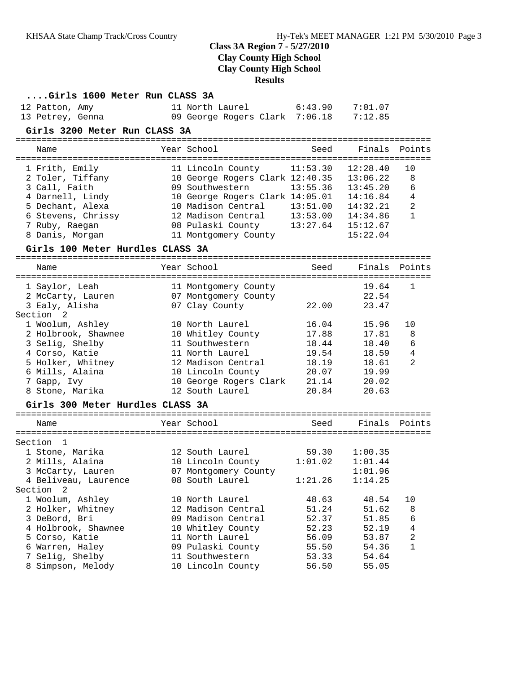**Results**

| Girls 1600 Meter Run CLASS 3A                |                                                           |                |                |                |
|----------------------------------------------|-----------------------------------------------------------|----------------|----------------|----------------|
| 12 Patton, Amy                               | 11 North Laurel                                           | 6:43.90        | 7:01.07        |                |
| 13 Petrey, Genna                             | 09 George Rogers Clark 7:06.18                            |                | 7:12.85        |                |
| Girls 3200 Meter Run CLASS 3A                |                                                           |                |                |                |
| Name                                         | Year School                                               | Seed           | Finals         | Points         |
| 1 Frith, Emily                               | 11 Lincoln County                                         | 11:53.30       | 12:28.40       | 10             |
| 2 Toler, Tiffany                             | 10 George Rogers Clark 12:40.35                           |                | 13:06.22       | 8              |
| 3 Call, Faith                                | 09 Southwestern                                           | 13:55.36       | 13:45.20       | 6              |
| 4 Darnell, Lindy                             | 10 George Rogers Clark 14:05.01                           |                | 14:16.84       | 4              |
| 5 Dechant, Alexa                             | 10 Madison Central                                        | 13:51.00       | 14:32.21       | $\overline{2}$ |
| 6 Stevens, Chrissy                           | 12 Madison Central                                        | 13:53.00       | 14:34.86       | $\mathbf{1}$   |
| 7 Ruby, Raegan                               | 12 Madison Central 13:53.00<br>08 Pulaski County 13:27.64 |                | 15:12.67       |                |
| 8 Danis, Morgan                              | 11 Montgomery County                                      |                | 15:22.04       |                |
| Girls 100 Meter Hurdles CLASS 3A             |                                                           |                |                |                |
| Name                                         | Year School                                               | Seed           | Finals Points  |                |
|                                              |                                                           |                |                |                |
| 1 Saylor, Leah                               | 11 Montgomery County                                      |                | 19.64          | 1              |
| 2 McCarty, Lauren                            | 07 Montgomery County                                      |                | 22.54          |                |
| 3 Ealy, Alisha                               | 07 Clay County                                            | 22.00          | 23.47          |                |
| Section <sub>2</sub>                         |                                                           |                |                |                |
| 1 Woolum, Ashley                             | 10 North Laurel                                           | 16.04          | 15.96<br>17.81 | 10             |
| 2 Holbrook, Shawnee                          | 10 Whitley County<br>11 Southwestern                      | 17.88<br>18.44 |                | 8              |
| 3 Selig, Shelby<br>4 Corso, Katie            | 11 North Laurel                                           | 19.54          | 18.40<br>18.59 | 6<br>4         |
| 5 Holker, Whitney                            | 12 Madison Central                                        | 18.19          | 18.61          | 2              |
| 6 Mills, Alaina                              | 10 Lincoln County                                         | 20.07          | 19.99          |                |
| 7 Gapp, Ivy                                  | 10 George Rogers Clark                                    | 21.14          | 20.02          |                |
| 8 Stone, Marika                              | 12 South Laurel                                           | 20.84          | 20.63          |                |
| Girls 300 Meter Hurdles CLASS 3A             |                                                           |                |                |                |
|                                              |                                                           |                |                |                |
| Name                                         | Year School                                               | Seed           | Finals Points  |                |
|                                              |                                                           |                |                |                |
| Section 1                                    |                                                           |                |                |                |
| 1 Stone, Marika                              | 12 South Laurel                                           | 59.30          | 1:00.35        |                |
| 2 Mills, Alaina                              | 10 Lincoln County                                         | 1:01.02        | 1:01.44        |                |
| 3 McCarty, Lauren                            | 07 Montgomery County                                      |                | 1:01.96        |                |
| 4 Beliveau, Laurence<br>Section <sub>2</sub> | 08 South Laurel 1:21.26 1:14.25                           |                |                |                |
| 1 Woolum, Ashley                             | 10 North Laurel                                           | 48.63          | 48.54          | 10             |
| 2 Holker, Whitney                            | 12 Madison Central                                        | 51.24          | 51.62          | 8              |
| 3 DeBord, Bri                                | 09 Madison Central                                        | 52.37          | 51.85          | 6              |
| 4 Holbrook, Shawnee                          | 10 Whitley County                                         | 52.23          | 52.19          | 4              |
| 5 Corso, Katie                               | 11 North Laurel                                           | 56.09          | 53.87          | 2              |
| 6 Warren, Haley                              | 09 Pulaski County                                         | 55.50          | 54.36          | $\mathbf{1}$   |
| 7 Selig, Shelby                              | 11 Southwestern                                           | 53.33          | 54.64          |                |
| 8 Simpson, Melody                            | 10 Lincoln County                                         | 56.50          | 55.05          |                |
|                                              |                                                           |                |                |                |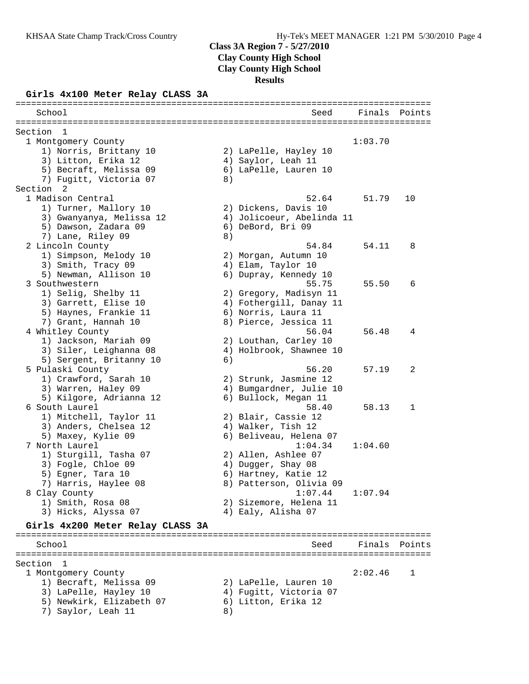#### **Class 3A Region 7 - 5/27/2010**

**Clay County High School**

**Clay County High School**

**Results**

================================================================================

#### **Girls 4x100 Meter Relay CLASS 3A**

 School Seed Finals Points ================================================================================ Section 1 1 Montgomery County 1:03.70 1) Norris, Brittany 10 2) LaPelle, Hayley 10 3) Litton, Erika 12 4) Saylor, Leah 11 5) Becraft, Melissa 09 6) LaPelle, Lauren 10 7) Fugitt, Victoria 07 (8) Section 2<br>1 Madison Central 1 Madison Central 52.64 51.79 10 1) Turner, Mallory 10 2) Dickens, Davis 10 3) Gwanyanya, Melissa 12 4) Jolicoeur, Abelinda 11 5) Dawson, Zadara 09 6) DeBord, Bri 09 7) Lane, Riley 09 8) 2 Lincoln County 54.84 54.11 8 1) Simpson, Melody 10 2) Morgan, Autumn 10 3) Smith, Tracy 09 (4) Elam, Taylor 10 5) Newman, Allison 10 6) Dupray, Kennedy 10 3 Southwestern 55.75 55.50 6 1) Selig, Shelby 11 2) Gregory, Madisyn 11 3) Garrett, Elise 10 4) Fothergill, Danay 11 5) Haynes, Frankie 11  $\qquad \qquad$  6) Norris, Laura 11 7) Grant, Hannah 10 8) Pierce, Jessica 11 4 Whitley County 56.04 56.48 4 1) Jackson, Mariah 09 2) Louthan, Carley 10 3) Siler, Leighanna 08 4) Holbrook, Shawnee 10 5) Sergent, Britanny 10 (6) 5 Pulaski County 56.20 57.19 2 1) Crawford, Sarah 10 2) Strunk, Jasmine 12 3) Warren, Haley 09 4) Bumgardner, Julie 10 5) Kilgore, Adrianna 12 6) Bullock, Megan 11 6 South Laurel 58.40 58.13 1 1) Mitchell, Taylor 11 2) Blair, Cassie 12 3) Anders, Chelsea 12 (4) Walker, Tish 12 5) Maxey, Kylie 09 6) Beliveau, Helena 07 7 North Laurel 1:04.34 1:04.60 1) Sturgill, Tasha 07 2) Allen, Ashlee 07 3) Fogle, Chloe 09 4) Dugger, Shay 08 5) Egner, Tara 10  $\,$  6) Hartney, Katie 12  $\,$  7) Harris, Haylee 08 8) Patterson, Olivia 09 8 Clay County 1:07.44 1:07.94 1) Smith, Rosa 08 2) Sizemore, Helena 11 3) Hicks, Alyssa 07 (4) Ealy, Alisha 07 **Girls 4x200 Meter Relay CLASS 3A** ================================================================================ School Seed Finals Points ================================================================================ Section 1 1 Montgomery County 2:02.46 1 1) Becraft, Melissa 09 2) LaPelle, Lauren 10 3) LaPelle, Hayley 10 4) Fugitt, Victoria 07 5) Newkirk, Elizabeth 07 6) Litton, Erika 12 7) Saylor, Leah 11 8)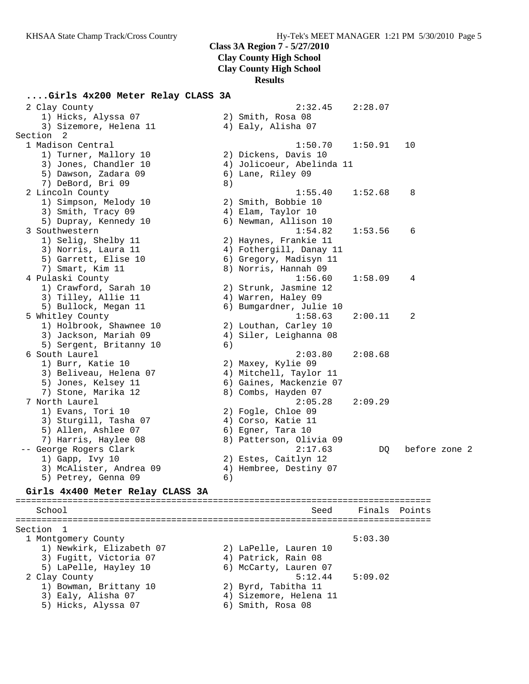### **Class 3A Region 7 - 5/27/2010**

**Clay County High School**

**Clay County High School**

#### **Results**

#### **....Girls 4x200 Meter Relay CLASS 3A**

 2 Clay County 2:32.45 2:28.07 1) Hicks, Alyssa 07 2) Smith, Rosa 08 3) Sizemore, Helena 11 (4) Ealy, Alisha 07 Section 2 1 Madison Central 1:50.70 1:50.91 10 1) Turner, Mallory 10 2) Dickens, Davis 10 3) Jones, Chandler 10 4) Jolicoeur, Abelinda 11 5) Dawson, Zadara 09 6) Lane, Riley 09 7) DeBord, Bri 09 8) 2 Lincoln County 1:55.40 1:52.68 8 1) Simpson, Melody 10 2) Smith, Bobbie 10 3) Smith, Tracy 09 (4) Elam, Taylor 10 5) Dupray, Kennedy 10 6) Newman, Allison 10 3 Southwestern 1:54.82 1:53.56 6 1) Selig, Shelby 11 2) Haynes, Frankie 11 3) Norris, Laura 11 4) Fothergill, Danay 11 5) Garrett, Elise 10 6) Gregory, Madisyn 11 7) Smart, Kim 11 8) Norris, Hannah 09 4 Pulaski County 1:56.60 1:58.09 4 1) Crawford, Sarah 10 2) Strunk, Jasmine 12 3) Tilley, Allie 11 (4) Warren, Haley 09 5) Bullock, Megan 11 6) Bumgardner, Julie 10 5 Whitley County 1:58.63 2:00.11 2 1) Holbrook, Shawnee 10 2) Louthan, Carley 10 3) Jackson, Mariah 09 4) Siler, Leighanna 08 5) Sergent, Britanny 10 (6) 6 South Laurel 2:03.80 2:08.68 1) Burr, Katie 10 2) Maxey, Kylie 09 3) Beliveau, Helena 07 4) Mitchell, Taylor 11 5) Jones, Kelsey 11 6) Gaines, Mackenzie 07 7) Stone, Marika 12 8) Combs, Hayden 07 7 North Laurel 2:05.28 2:09.29 1) Evans, Tori 10 2) Fogle, Chloe 09 3) Sturgill, Tasha 07 4) Corso, Katie 11 5) Allen, Ashlee 07 (6) Egner, Tara 10 7) Harris, Haylee 08 8) Patterson, Olivia 09 -- George Rogers Clark 2:17.63 DQ before zone 2 1) Gapp, Ivy 10 2) Estes, Caitlyn 12 3) McAlister, Andrea 09 4) Hembree, Destiny 07 5) Petrey, Genna 09 (6) **Girls 4x400 Meter Relay CLASS 3A** ================================================================================

#### School Seed Finals Points ================================================================================ Section 1 1 Montgomery County 6:03.30 1) Newkirk, Elizabeth 07 2) LaPelle, Lauren 10 3) Fugitt, Victoria 07 4) Patrick, Rain 08 5) LaPelle, Hayley 10 6) McCarty, Lauren 07 2 Clay County 5:12.44 5:09.02 1) Bowman, Brittany 10 2) Byrd, Tabitha 11 3) Ealy, Alisha 07 4) Sizemore, Helena 11 5) Hicks, Alyssa 07 (6) Smith, Rosa 08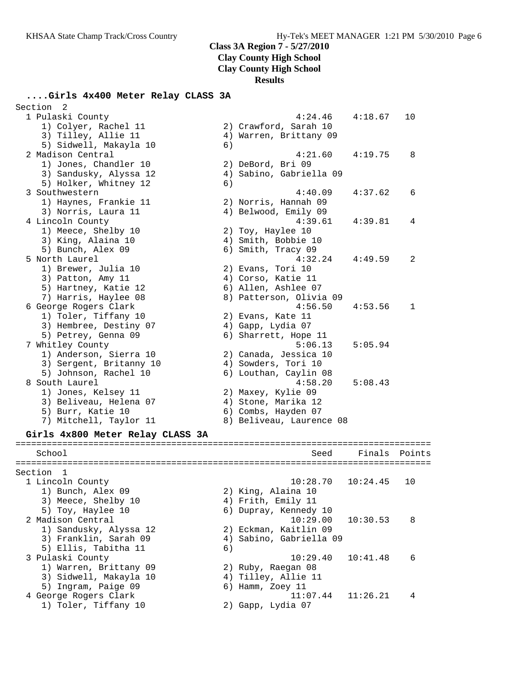### **Class 3A Region 7 - 5/27/2010**

**Clay County High School**

**Clay County High School**

**Results**

### **....Girls 4x400 Meter Relay CLASS 3A**

| Section<br>2                                    |    |                          |          |        |
|-------------------------------------------------|----|--------------------------|----------|--------|
| 1 Pulaski County                                |    | 4:24.46                  | 4:18.67  | 10     |
| 1) Colyer, Rachel 11                            |    | 2) Crawford, Sarah 10    |          |        |
| 3) Tilley, Allie 11                             |    | 4) Warren, Brittany 09   |          |        |
| 5) Sidwell, Makayla 10                          | 6) |                          |          |        |
| 2 Madison Central                               |    | 4:21.60                  | 4:19.75  | 8      |
| 1) Jones, Chandler 10                           |    | 2) DeBord, Bri 09        |          |        |
| 3) Sandusky, Alyssa 12                          |    | 4) Sabino, Gabriella 09  |          |        |
| 5) Holker, Whitney 12                           | 6) |                          |          |        |
| 3 Southwestern                                  |    | 4:40.09                  | 4:37.62  | 6      |
| 1) Haynes, Frankie 11                           |    | 2) Norris, Hannah 09     |          |        |
| 3) Norris, Laura 11                             |    | 4) Belwood, Emily 09     |          |        |
| 4 Lincoln County                                |    | 4:39.61                  | 4:39.81  | 4      |
| 1) Meece, Shelby 10                             |    | 2) Toy, Haylee 10        |          |        |
| 3) King, Alaina 10                              |    | 4) Smith, Bobbie 10      |          |        |
| 5) Bunch, Alex 09                               |    | 6) Smith, Tracy 09       |          |        |
| 5 North Laurel                                  |    | 4:32.24                  | 4:49.59  | 2      |
| 1) Brewer, Julia 10                             |    | 2) Evans, Tori 10        |          |        |
| 3) Patton, Amy 11                               |    | 4) Corso, Katie 11       |          |        |
| 5) Hartney, Katie 12                            |    | 6) Allen, Ashlee 07      |          |        |
| 7) Harris, Haylee 08                            |    | 8) Patterson, Olivia 09  |          |        |
| 6 George Rogers Clark                           |    | 4:56.50                  | 4:53.56  | 1      |
| 1) Toler, Tiffany 10                            |    | 2) Evans, Kate 11        |          |        |
| 3) Hembree, Destiny 07                          |    | 4) Gapp, Lydia 07        |          |        |
| 5) Petrey, Genna 09                             |    | 6) Sharrett, Hope 11     |          |        |
| 7 Whitley County                                |    | 5:06.13                  | 5:05.94  |        |
| 1) Anderson, Sierra 10                          |    | 2) Canada, Jessica 10    |          |        |
| 3) Sergent, Britanny 10                         |    | 4) Sowders, Tori 10      |          |        |
| 5) Johnson, Rachel 10                           |    | 6) Louthan, Caylin 08    |          |        |
| 8 South Laurel                                  |    | 4:58.20                  | 5:08.43  |        |
| 1) Jones, Kelsey 11                             |    | 2) Maxey, Kylie 09       |          |        |
| 3) Beliveau, Helena 07                          |    | 4) Stone, Marika 12      |          |        |
| 5) Burr, Katie 10                               |    | 6) Combs, Hayden 07      |          |        |
| 7) Mitchell, Taylor 11                          |    | 8) Beliveau, Laurence 08 |          |        |
| Girls 4x800 Meter Relay CLASS 3A                |    |                          |          |        |
|                                                 |    |                          |          |        |
| School                                          |    | Seed                     | Finals   | Points |
| Section 1                                       |    |                          |          |        |
| 1 Lincoln County                                |    | 10:28.70                 | 10:24.45 | 10     |
| 1) Bunch, Alex 09                               |    | 2) King, Alaina 10       |          |        |
| 3) Meece, Shelby 10                             |    | 4) Frith, Emily 11       |          |        |
| 5) Toy, Haylee 10                               |    | 6) Dupray, Kennedy 10    |          |        |
| 2 Madison Central                               |    | 10:29.00                 | 10:30.53 | 8      |
|                                                 |    | 2) Eckman, Kaitlin 09    |          |        |
| 1) Sandusky, Alyssa 12<br>3) Franklin, Sarah 09 |    | 4) Sabino, Gabriella 09  |          |        |
| 5) Ellis, Tabitha 11                            | 6) |                          |          |        |
| 3 Pulaski County                                |    | 10:29.40                 | 10:41.48 | 6      |
| 1) Warren, Brittany 09                          |    | 2) Ruby, Raegan 08       |          |        |
| 3) Sidwell, Makayla 10                          |    | 4) Tilley, Allie 11      |          |        |
| 5) Ingram, Paige 09                             |    | 6) Hamm, Zoey 11         |          |        |
| 4 George Rogers Clark                           |    | 11:07.44                 | 11:26.21 | 4      |
|                                                 |    |                          |          |        |

1) Toler, Tiffany 10 2) Gapp, Lydia 07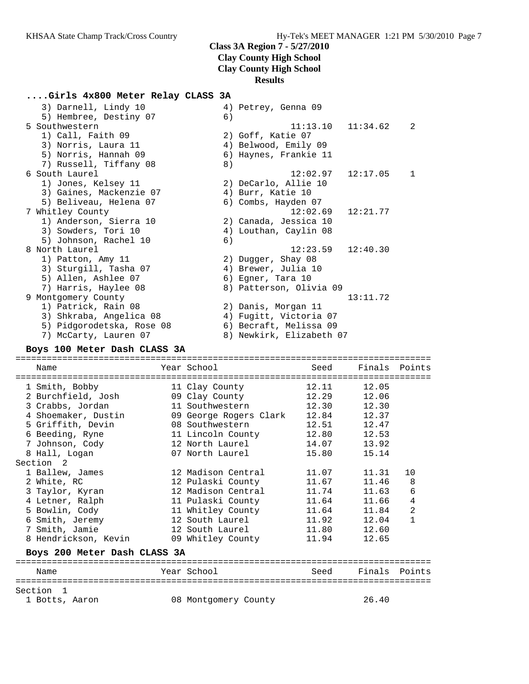# **Class 3A Region 7 - 5/27/2010 Clay County High School**

**Clay County High School**

### **Results**

### **....Girls 4x800 Meter Relay CLASS 3A**

| 3) Darnell, Lindy 10      |    | 4) Petrey, Genna 09      |          |   |
|---------------------------|----|--------------------------|----------|---|
| 5) Hembree, Destiny 07    | 6) |                          |          |   |
| 5 Southwestern            |    | 11:13.10                 | 11:34.62 | 2 |
| 1) Call, Faith 09         |    | 2) Goff, Katie 07        |          |   |
| 3) Norris, Laura 11       |    | 4) Belwood, Emily 09     |          |   |
| 5) Norris, Hannah 09      |    | 6) Haynes, Frankie 11    |          |   |
| 7) Russell, Tiffany 08    | 8) |                          |          |   |
| 6 South Laurel            |    | 12:02.97                 | 12:17.05 | 1 |
| 1) Jones, Kelsey 11       |    | 2) DeCarlo, Allie 10     |          |   |
| 3) Gaines, Mackenzie 07   |    | 4) Burr, Katie 10        |          |   |
| 5) Beliveau, Helena 07    |    | 6) Combs, Hayden 07      |          |   |
| 7 Whitley County          |    | 12:02.69                 | 12:21.77 |   |
| 1) Anderson, Sierra 10    |    | 2) Canada, Jessica 10    |          |   |
| 3) Sowders, Tori 10       |    | 4) Louthan, Caylin 08    |          |   |
| 5) Johnson, Rachel 10     | 6) |                          |          |   |
| 8 North Laurel            |    | 12:23.59                 | 12:40.30 |   |
| 1) Patton, Amy 11         |    | 2) Dugger, Shay 08       |          |   |
| 3) Sturgill, Tasha 07     |    | 4) Brewer, Julia 10      |          |   |
| 5) Allen, Ashlee 07       |    | 6) Egner, Tara 10        |          |   |
| 7) Harris, Haylee 08      |    | 8) Patterson, Olivia 09  |          |   |
| 9 Montgomery County       |    |                          | 13:11.72 |   |
| 1) Patrick, Rain 08       |    | 2) Danis, Morgan 11      |          |   |
| 3) Shkraba, Angelica 08   |    | 4) Fugitt, Victoria 07   |          |   |
| 5) Pidgorodetska, Rose 08 |    | 6) Becraft, Melissa 09   |          |   |
| 7) McCarty, Lauren 07     |    | 8) Newkirk, Elizabeth 07 |          |   |
|                           |    |                          |          |   |

#### **Boys 100 Meter Dash CLASS 3A**

| Name                         |                   | Year School            | Seed  | Finals Points |                |  |  |
|------------------------------|-------------------|------------------------|-------|---------------|----------------|--|--|
|                              |                   |                        |       |               |                |  |  |
| 1 Smith, Bobby               |                   | 11 Clay County         | 12.11 | 12.05         |                |  |  |
| 2 Burchfield, Josh           |                   | 09 Clay County         | 12.29 | 12.06         |                |  |  |
| 3 Crabbs, Jordan             |                   | 11 Southwestern        | 12.30 | 12.30         |                |  |  |
| 4 Shoemaker, Dustin          |                   | 09 George Rogers Clark | 12.84 | 12.37         |                |  |  |
| 5 Griffith, Devin            |                   | 08 Southwestern        | 12.51 | 12.47         |                |  |  |
| 6 Beeding, Ryne              |                   | 11 Lincoln County      | 12.80 | 12.53         |                |  |  |
| 7 Johnson, Cody              |                   | 12 North Laurel        | 14.07 | 13.92         |                |  |  |
| 8 Hall, Logan                |                   | 07 North Laurel        | 15.80 | 15.14         |                |  |  |
| Section <sub>2</sub>         |                   |                        |       |               |                |  |  |
| 1 Ballew, James              |                   | 12 Madison Central     | 11.07 | 11.31         | 10             |  |  |
| 2 White, RC                  |                   | 12 Pulaski County      | 11.67 | 11.46         | 8              |  |  |
| 3 Taylor, Kyran              |                   | 12 Madison Central     | 11.74 | 11.63         | 6              |  |  |
| 4 Letner, Ralph              |                   | 11 Pulaski County      | 11.64 | 11.66         | $\bf 4$        |  |  |
| 5 Bowlin, Cody               |                   | 11 Whitley County      | 11.64 | 11.84         | $\overline{a}$ |  |  |
| 6 Smith, Jeremy              |                   | 12 South Laurel        | 11.92 | 12.04         | $\mathbf{1}$   |  |  |
| 7 Smith, Jamie               |                   | 12 South Laurel        | 11.80 | 12.60         |                |  |  |
| 8 Hendrickson, Kevin         |                   | 09 Whitley County      | 11.94 | 12.65         |                |  |  |
| Boys 200 Meter Dash CLASS 3A |                   |                        |       |               |                |  |  |
|                              | ================= | ==================     |       |               |                |  |  |
| Name                         |                   | Year School            | Seed  | Finals Points |                |  |  |
| Section<br>$\overline{1}$    |                   |                        |       |               |                |  |  |
| 1 Botts, Aaron               |                   | 08 Montgomery County   |       | 26.40         |                |  |  |
|                              |                   |                        |       |               |                |  |  |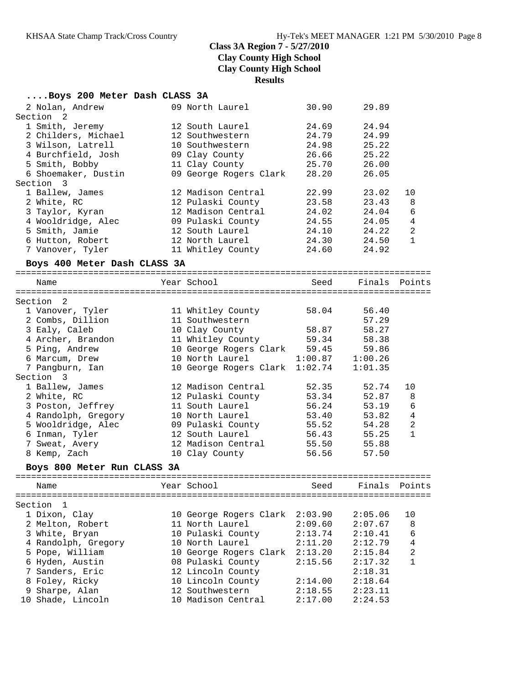### **....Boys 200 Meter Dash CLASS 3A**

| 2 Nolan, Andrew              | 09 North Laurel                | 30.90               | 29.89         |                |
|------------------------------|--------------------------------|---------------------|---------------|----------------|
| Section<br>$\overline{2}$    |                                |                     |               |                |
| 1 Smith, Jeremy              | 12 South Laurel                | 24.69               | 24.94         |                |
| 2 Childers, Michael          | 12 Southwestern                | 24.79               | 24.99         |                |
| 3 Wilson, Latrell            | 10 Southwestern                | 24.98               | 25.22         |                |
| 4 Burchfield, Josh           | 09 Clay County                 | 26.66               | 25.22         |                |
| 5 Smith, Bobby               | 11 Clay County                 | 25.70               | 26.00         |                |
| 6 Shoemaker, Dustin          | 09 George Rogers Clark         | 28.20               | 26.05         |                |
| Section 3                    |                                |                     |               |                |
| 1 Ballew, James              | 12 Madison Central             | 22.99               | 23.02         | 10             |
| 2 White, RC                  | 12 Pulaski County              | 23.58               | 23.43         | 8              |
| 3 Taylor, Kyran              | 12 Madison Central             | 24.02               | 24.04         | 6              |
| 4 Wooldridge, Alec           | 09 Pulaski County              | 24.55               | 24.05         | $\overline{4}$ |
| 5 Smith, Jamie               | 12 South Laurel                | 24.10               | 24.22         | $\mathbf{2}$   |
| 6 Hutton, Robert             | 12 North Laurel                | 24.30               | 24.50         | $\mathbf{1}$   |
| 7 Vanover, Tyler             | 11 Whitley County              | 24.60               | 24.92         |                |
| Boys 400 Meter Dash CLASS 3A |                                |                     |               |                |
| Name                         | Year School                    | Seed                | Finals Points |                |
|                              |                                |                     |               |                |
| Section<br>-2                |                                |                     |               |                |
| 1 Vanover, Tyler             | 11 Whitley County              | 58.04               | 56.40         |                |
| 2 Combs, Dillion             | 11 Southwestern                |                     | 57.29         |                |
| 3 Ealy, Caleb                | 10 Clay County                 | 58.87               | 58.27         |                |
| 4 Archer, Brandon            | 11 Whitley County              | 59.34               | 58.38         |                |
| 5 Ping, Andrew               | 10 George Rogers Clark 59.45   |                     |               |                |
|                              | 10 North Laurel                | $1:00.87$ $1:00.26$ | 59.86         |                |
| 6 Marcum, Drew               |                                |                     |               |                |
| 7 Pangburn, Ian              | 10 George Rogers Clark 1:02.74 |                     | 1:01.35       |                |
| Section 3                    |                                |                     |               |                |
| 1 Ballew, James              | 12 Madison Central             | 52.35               | 52.74         | 10             |
| 2 White, RC                  | 12 Pulaski County              | 53.34               | 52.87         | 8              |
| 3 Poston, Jeffrey            | 11 South Laurel                | 56.24               | 53.19         | 6              |
| 4 Randolph, Gregory          | 10 North Laurel                | 53.40               | 53.82         | 4              |
| 5 Wooldridge, Alec           | 09 Pulaski County              | 55.52               | 54.28         | $\mathbf{2}$   |
| 6 Inman, Tyler               | 12 South Laurel                | 56.43               | 55.25         | $\mathbf{1}$   |
| 7 Sweat, Avery               | 12 Madison Central             | 55.50               | 55.88         |                |
| 8 Kemp, Zach                 | 10 Clay County                 | 56.56               | 57.50         |                |
| Boys 800 Meter Run CLASS 3A  |                                |                     |               |                |
| Name                         | Year School                    | Seed                | Finals        | Points         |
|                              |                                |                     |               |                |
| Section<br>1                 |                                |                     |               |                |
| 1 Dixon, Clay                | 10 George Rogers Clark         | 2:03.90             | 2:05.06       | 10             |
| 2 Melton, Robert             | 11 North Laurel                | 2:09.60             | 2:07.67       | 8              |
| 3 White, Bryan               | 10 Pulaski County              | 2:13.74             | 2:10.41       | 6              |
| 4 Randolph, Gregory          | 10 North Laurel                | 2:11.20             | 2:12.79       | $\overline{4}$ |
| 5 Pope, William              | 10 George Rogers Clark         | 2:13.20             | 2:15.84       | $\overline{a}$ |
| 6 Hyden, Austin              | 08 Pulaski County              | 2:15.56             | 2:17.32       | $\mathbf{1}$   |
| 7 Sanders, Eric              | 12 Lincoln County              |                     | 2:18.31       |                |
| 8 Foley, Ricky               | 10 Lincoln County              | 2:14.00             | 2:18.64       |                |
| 9 Sharpe, Alan               | 12 Southwestern                | 2:18.55             | 2:23.11       |                |
| 10 Shade, Lincoln            | 10 Madison Central             | 2:17.00             | 2:24.53       |                |
|                              |                                |                     |               |                |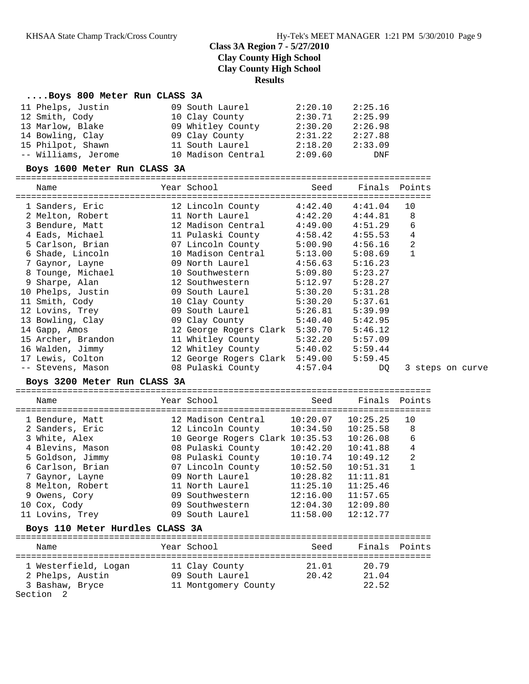# **Results**

#### **....Boys 800 Meter Run CLASS 3A**

| 11 Phelps, Justin   | 09 South Laurel    | 2:20.10 | 2:25.16 |
|---------------------|--------------------|---------|---------|
| 12 Smith, Cody      | 10 Clay County     | 2:30.71 | 2:25.99 |
| 13 Marlow, Blake    | 09 Whitley County  | 2:30.20 | 2:26.98 |
| 14 Bowling, Clay    | 09 Clay County     | 2:31.22 | 2:27.88 |
| 15 Philpot, Shawn   | 11 South Laurel    | 2:18.20 | 2:33.09 |
| -- Williams, Jerome | 10 Madison Central | 2:09.60 | DNF     |

#### **Boys 1600 Meter Run CLASS 3A**

================================================================================

| Name               | Year School                    | Seed    | Finals Points       |                  |  |
|--------------------|--------------------------------|---------|---------------------|------------------|--|
| 1 Sanders, Eric    | 12 Lincoln County              | 4:42.40 | 4:41.04             | 10               |  |
| 2 Melton, Robert   | 11 North Laurel                | 4:42.20 | 4:44.81             | 8                |  |
| 3 Bendure, Matt    | 12 Madison Central             | 4:49.00 | 4:51.29             | 6                |  |
| 4 Eads, Michael    | 11 Pulaski County              |         | $4:58.42$ $4:55.53$ | 4                |  |
| 5 Carlson, Brian   | 07 Lincoln County              | 5:00.90 | 4:56.16             | 2                |  |
| 6 Shade, Lincoln   | 10 Madison Central             | 5:13.00 | 5:08.69             | 1                |  |
| 7 Gaynor, Layne    | 09 North Laurel                | 4:56.63 | 5:16.23             |                  |  |
| 8 Tounge, Michael  | 10 Southwestern                | 5:09.80 | 5:23.27             |                  |  |
| 9 Sharpe, Alan     | 12 Southwestern                | 5:12.97 | 5:28.27             |                  |  |
| 10 Phelps, Justin  | 09 South Laurel                | 5:30.20 | 5:31.28             |                  |  |
| 11 Smith, Cody     | 10 Clay County                 | 5:30.20 | 5:37.61             |                  |  |
| 12 Lovins, Trey    | 09 South Laurel                | 5:26.81 | 5:39.99             |                  |  |
| 13 Bowling, Clay   | 09 Clay County                 | 5:40.40 | 5:42.95             |                  |  |
| 14 Gapp, Amos      | 12 George Rogers Clark         | 5:30.70 | 5:46.12             |                  |  |
| 15 Archer, Brandon | 11 Whitley County              | 5:32.20 | 5:57.09             |                  |  |
| 16 Walden, Jimmy   | 12 Whitley County 5:40.02      |         | 5:59.44             |                  |  |
| 17 Lewis, Colton   | 12 George Rogers Clark 5:49.00 |         | 5:59.45             |                  |  |
| -- Stevens, Mason  | 08 Pulaski County              | 4:57.04 | DQ                  | 3 steps on curve |  |

#### **Boys 3200 Meter Run CLASS 3A**

================================================================================

|                                 | Name             |  | Year School<br>=============================== | Seed     | Finals   | Points         |  |  |  |  |
|---------------------------------|------------------|--|------------------------------------------------|----------|----------|----------------|--|--|--|--|
|                                 | 1 Bendure, Matt  |  | 12 Madison Central                             | 10:20.07 | 10:25.25 | 10             |  |  |  |  |
|                                 | 2 Sanders, Eric  |  | 12 Lincoln County                              | 10:34.50 | 10:25.58 | 8              |  |  |  |  |
|                                 | 3 White, Alex    |  | 10 George Rogers Clark 10:35.53                |          | 10:26.08 | 6              |  |  |  |  |
|                                 | 4 Blevins, Mason |  | 08 Pulaski County                              | 10:42.20 | 10:41.88 | $\overline{4}$ |  |  |  |  |
|                                 | 5 Goldson, Jimmy |  | 08 Pulaski County                              | 10:10.74 | 10:49.12 | 2              |  |  |  |  |
|                                 | 6 Carlson, Brian |  | 07 Lincoln County                              | 10:52.50 | 10:51.31 |                |  |  |  |  |
|                                 | 7 Gaynor, Layne  |  | 09 North Laurel                                | 10:28.82 | 11:11.81 |                |  |  |  |  |
|                                 | 8 Melton, Robert |  | 11 North Laurel                                | 11:25.10 | 11:25.46 |                |  |  |  |  |
|                                 | 9 Owens, Cory    |  | 09 Southwestern                                | 12:16.00 | 11:57.65 |                |  |  |  |  |
|                                 | 10 Cox, Cody     |  | 09 Southwestern                                | 12:04.30 | 12:09.80 |                |  |  |  |  |
|                                 | 11 Lovins, Trey  |  | 09 South Laurel                                | 11:58.00 | 12:12.77 |                |  |  |  |  |
| Boys 110 Meter Hurdles CLASS 3A |                  |  |                                                |          |          |                |  |  |  |  |
|                                 | Name             |  | Year School                                    | Seed     | Finals   | Points         |  |  |  |  |
|                                 |                  |  |                                                |          |          |                |  |  |  |  |

| 1 Westerfield, Logan | 11 Clay County       | 21.01 | 20.79 |  |
|----------------------|----------------------|-------|-------|--|
| 2 Phelps, Austin     | 09 South Laurel      | 20.42 | 21.04 |  |
| 3 Bashaw, Bryce      | 11 Montgomery County |       | 22.52 |  |
| Section 2            |                      |       |       |  |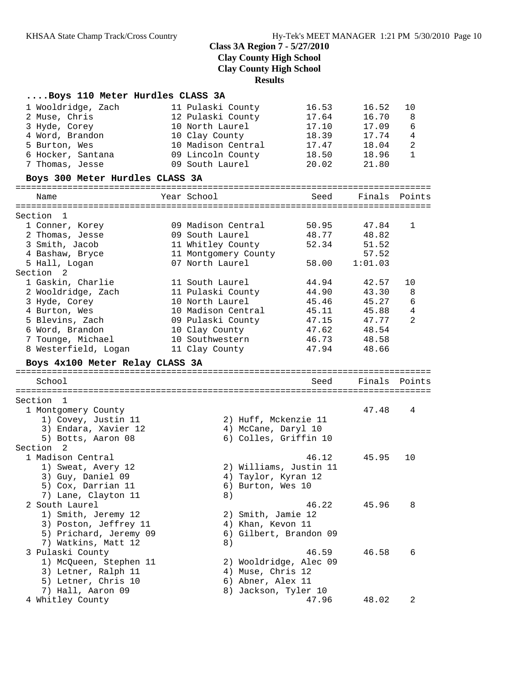## **....Boys 110 Meter Hurdles CLASS 3A**

| 1 Wooldridge, Zach<br>2 Muse, Chris<br>3 Hyde, Corey<br>4 Word, Brandon<br>5 Burton, Wes<br>6 Hocker, Santana<br>7 Thomas, Jesse | 11 Pulaski County<br>12 Pulaski County<br>10 North Laurel<br>10 Clay County<br>10 Madison Central<br>09 Lincoln County<br>09 South Laurel | 16.53<br>17.64<br>17.10<br>18.39<br>17.47<br>18.50<br>20.02 | 16.52<br>16.70<br>17.09<br>17.74<br>18.04<br>18.96<br>21.80 | 10<br>8<br>6<br>4<br>$\overline{c}$<br>$\mathbf{1}$ |
|----------------------------------------------------------------------------------------------------------------------------------|-------------------------------------------------------------------------------------------------------------------------------------------|-------------------------------------------------------------|-------------------------------------------------------------|-----------------------------------------------------|
| Boys 300 Meter Hurdles CLASS 3A                                                                                                  |                                                                                                                                           |                                                             |                                                             |                                                     |
| Name                                                                                                                             | Year School                                                                                                                               | Seed                                                        | Finals Points                                               |                                                     |
|                                                                                                                                  |                                                                                                                                           |                                                             |                                                             |                                                     |
| Section 1<br>1 Conner, Korey                                                                                                     | 09 Madison Central                                                                                                                        | 50.95                                                       | 47.84                                                       | 1                                                   |
| 2 Thomas, Jesse                                                                                                                  | 09 South Laurel                                                                                                                           | 48.77                                                       | 48.82                                                       |                                                     |
| 3 Smith, Jacob                                                                                                                   | 11 Whitley County                                                                                                                         | 52.34                                                       | 51.52                                                       |                                                     |
| 4 Bashaw, Bryce                                                                                                                  | 11 Montgomery County                                                                                                                      |                                                             | 57.52                                                       |                                                     |
| 5 Hall, Logan                                                                                                                    | 07 North Laurel                                                                                                                           | 58.00                                                       | 1:01.03                                                     |                                                     |
| Section 2                                                                                                                        |                                                                                                                                           |                                                             |                                                             |                                                     |
| 1 Gaskin, Charlie                                                                                                                | 11 South Laurel                                                                                                                           | 44.94                                                       | 42.57                                                       | 10                                                  |
| 2 Wooldridge, Zach                                                                                                               | 11 Pulaski County                                                                                                                         | 44.90                                                       | 43.30                                                       | 8                                                   |
| 3 Hyde, Corey                                                                                                                    | 10 North Laurel                                                                                                                           | 45.46                                                       | 45.27                                                       | 6                                                   |
| 4 Burton, Wes                                                                                                                    | 10 Madison Central                                                                                                                        | 45.11                                                       | 45.88                                                       | 4                                                   |
| 5 Blevins, Zach                                                                                                                  | 09 Pulaski County                                                                                                                         | 47.15                                                       | 47.77                                                       | $\overline{2}$                                      |
| 6 Word, Brandon                                                                                                                  | 10 Clay County                                                                                                                            | 47.62                                                       | 48.54                                                       |                                                     |
| 7 Tounge, Michael                                                                                                                | 10 Southwestern                                                                                                                           | 46.73                                                       | 48.58                                                       |                                                     |
| 8 Westerfield, Logan                                                                                                             | 11 Clay County                                                                                                                            | 47.94                                                       | 48.66                                                       |                                                     |
|                                                                                                                                  |                                                                                                                                           |                                                             |                                                             |                                                     |
| Boys 4x100 Meter Relay CLASS 3A                                                                                                  |                                                                                                                                           |                                                             |                                                             |                                                     |
| School                                                                                                                           |                                                                                                                                           | Seed                                                        | Finals Points                                               |                                                     |
|                                                                                                                                  |                                                                                                                                           |                                                             |                                                             |                                                     |
| Section 1                                                                                                                        |                                                                                                                                           |                                                             |                                                             |                                                     |
| 1 Montgomery County                                                                                                              |                                                                                                                                           |                                                             | 47.48                                                       | 4                                                   |
| 1) Covey, Justin 11                                                                                                              | 2) Huff, Mckenzie 11                                                                                                                      |                                                             |                                                             |                                                     |
| 3) Endara, Xavier 12                                                                                                             | 4) McCane, Daryl 10                                                                                                                       |                                                             |                                                             |                                                     |
| 5) Botts, Aaron 08                                                                                                               | 6) Colles, Griffin 10                                                                                                                     |                                                             |                                                             |                                                     |
| Section 2                                                                                                                        |                                                                                                                                           |                                                             |                                                             |                                                     |
| 1 Madison Central                                                                                                                |                                                                                                                                           | 46.12                                                       | 45.95                                                       | 10                                                  |
| 1) Sweat, Avery 12                                                                                                               | 2) Williams, Justin 11                                                                                                                    |                                                             |                                                             |                                                     |
| 3) Guy, Daniel 09                                                                                                                | 4) Taylor, Kyran 12                                                                                                                       |                                                             |                                                             |                                                     |
| 5) Cox, Darrian 11                                                                                                               | 6) Burton, Wes 10                                                                                                                         |                                                             |                                                             |                                                     |
| 7) Lane, Clayton 11                                                                                                              | 8)                                                                                                                                        |                                                             |                                                             |                                                     |
| 2 South Laurel                                                                                                                   |                                                                                                                                           | 46.22                                                       | 45.96                                                       | 8                                                   |
| 1) Smith, Jeremy 12                                                                                                              | 2) Smith, Jamie 12                                                                                                                        |                                                             |                                                             |                                                     |
| 3) Poston, Jeffrey 11                                                                                                            | 4) Khan, Kevon 11                                                                                                                         |                                                             |                                                             |                                                     |
| 5) Prichard, Jeremy 09                                                                                                           | 6)                                                                                                                                        | Gilbert, Brandon 09                                         |                                                             |                                                     |
| 7) Watkins, Matt 12                                                                                                              | 8)                                                                                                                                        |                                                             |                                                             |                                                     |
| 3 Pulaski County                                                                                                                 |                                                                                                                                           | 46.59                                                       | 46.58                                                       | 6                                                   |
| 1) McQueen, Stephen 11                                                                                                           | 2) Wooldridge, Alec 09                                                                                                                    |                                                             |                                                             |                                                     |
| 3) Letner, Ralph 11                                                                                                              | 4) Muse, Chris 12<br>6) Abner, Alex 11                                                                                                    |                                                             |                                                             |                                                     |
| 5) Letner, Chris 10<br>7) Hall, Aaron 09                                                                                         | 8) Jackson, Tyler 10                                                                                                                      |                                                             |                                                             |                                                     |
| 4 Whitley County                                                                                                                 |                                                                                                                                           | 47.96                                                       | 48.02                                                       | 2                                                   |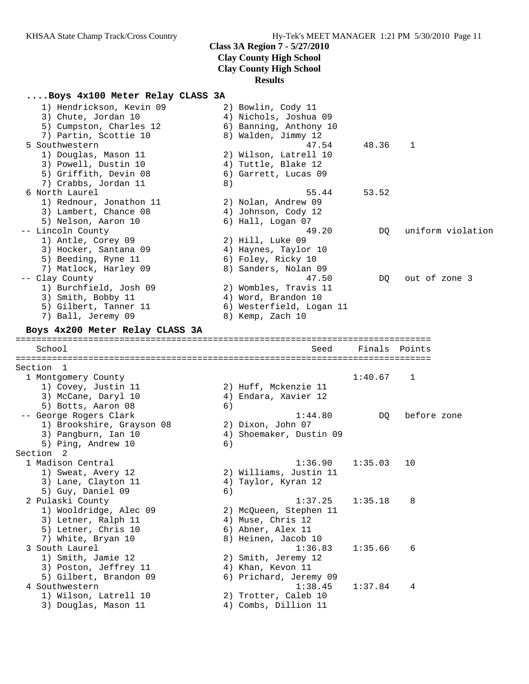# **Results**

## **....Boys 4x100 Meter Relay CLASS 3A**

| 1) Hendrickson, Kevin 09                      |    | 2) Bowlin, Cody 11                           |         |                   |
|-----------------------------------------------|----|----------------------------------------------|---------|-------------------|
| 3) Chute, Jordan 10                           |    | 4) Nichols, Joshua 09                        |         |                   |
| 5) Cumpston, Charles 12                       |    | 6) Banning, Anthony 10                       |         |                   |
| 7) Partin, Scottie 10                         |    | 8) Walden, Jimmy 12                          |         |                   |
| 5 Southwestern                                |    | 47.54                                        | 48.36   | 1                 |
| 1) Douglas, Mason 11                          |    | 2) Wilson, Latrell 10                        |         |                   |
| 3) Powell, Dustin 10                          |    | 4) Tuttle, Blake 12                          |         |                   |
| 5) Griffith, Devin 08                         |    | 6) Garrett, Lucas 09                         |         |                   |
| 7) Crabbs, Jordan 11                          | 8) |                                              |         |                   |
| 6 North Laurel                                |    | 55.44                                        | 53.52   |                   |
| 1) Rednour, Jonathon 11                       |    | 2) Nolan, Andrew 09                          |         |                   |
| 3) Lambert, Chance 08                         |    | 4) Johnson, Cody 12                          |         |                   |
| 5) Nelson, Aaron 10                           |    | 6) Hall, Logan 07                            |         |                   |
| -- Lincoln County                             |    | 49.20                                        | DO.     | uniform violation |
| 1) Antle, Corey 09                            |    | 2) Hill, Luke 09                             |         |                   |
| 3) Hocker, Santana 09                         |    | 4) Haynes, Taylor 10                         |         |                   |
| 5) Beeding, Ryne 11                           |    | 6) Foley, Ricky 10                           |         |                   |
| 7) Matlock, Harley 09                         |    | 8) Sanders, Nolan 09                         |         |                   |
| -- Clay County                                |    | 47.50                                        | DQ      | out of zone 3     |
| 1) Burchfield, Josh 09                        |    | 2) Wombles, Travis 11                        |         |                   |
| 3) Smith, Bobby 11                            |    | 4) Word, Brandon 10                          |         |                   |
| 5) Gilbert, Tanner 11                         |    | 6) Westerfield, Logan 11                     |         |                   |
| 7) Ball, Jeremy 09                            |    | 8) Kemp, Zach 10                             |         |                   |
| Boys 4x200 Meter Relay CLASS 3A               |    |                                              |         |                   |
|                                               |    |                                              |         |                   |
| School                                        |    | Seed                                         | Finals  | Points            |
| Section 1                                     |    |                                              |         |                   |
| 1 Montgomery County                           |    |                                              | 1:40.67 | 1                 |
| 1) Covey, Justin 11                           |    | 2) Huff, Mckenzie 11                         |         |                   |
| 3) McCane, Daryl 10                           |    | 4) Endara, Xavier 12                         |         |                   |
| 5) Botts, Aaron 08                            | 6) |                                              |         |                   |
| -- George Rogers Clark                        |    | 1:44.80                                      | DO.     | before zone       |
| 1) Brookshire, Grayson 08                     |    | 2) Dixon, John 07                            |         |                   |
| 3) Pangburn, Ian 10                           |    | 4) Shoemaker, Dustin 09                      |         |                   |
| 5) Ping, Andrew 10                            | 6) |                                              |         |                   |
| Section 2                                     |    |                                              |         |                   |
| 1 Madison Central                             |    |                                              |         |                   |
| 1) Sweat, Avery 12                            |    |                                              |         |                   |
|                                               |    | 1:36.90                                      | 1:35.03 | 10                |
|                                               |    | 2) Williams, Justin 11                       |         |                   |
| 3) Lane, Clayton 11                           |    | 4) Taylor, Kyran 12                          |         |                   |
| 5) Guy, Daniel 09                             | 6) |                                              |         |                   |
| 2 Pulaski County                              |    | 1:37.25                                      | 1:35.18 | 8                 |
| 1) Wooldridge, Alec 09                        |    | 2) McQueen, Stephen 11                       |         |                   |
| 3) Letner, Ralph 11                           |    | 4) Muse, Chris 12                            |         |                   |
| 5) Letner, Chris 10                           |    | 6) Abner, Alex 11                            |         |                   |
| 7) White, Bryan 10                            |    | 8) Heinen, Jacob 10                          |         |                   |
| 3 South Laurel                                |    | 1:36.83                                      | 1:35.66 | 6                 |
| 1) Smith, Jamie 12                            |    | 2) Smith, Jeremy 12                          |         |                   |
| 3) Poston, Jeffrey 11                         |    | 4) Khan, Kevon 11                            |         |                   |
| 5) Gilbert, Brandon 09                        |    | 6) Prichard, Jeremy 09                       |         |                   |
| 4 Southwestern                                |    | 1:38.45                                      | 1:37.84 | 4                 |
| 1) Wilson, Latrell 10<br>3) Douglas, Mason 11 |    | 2) Trotter, Caleb 10<br>4) Combs, Dillion 11 |         |                   |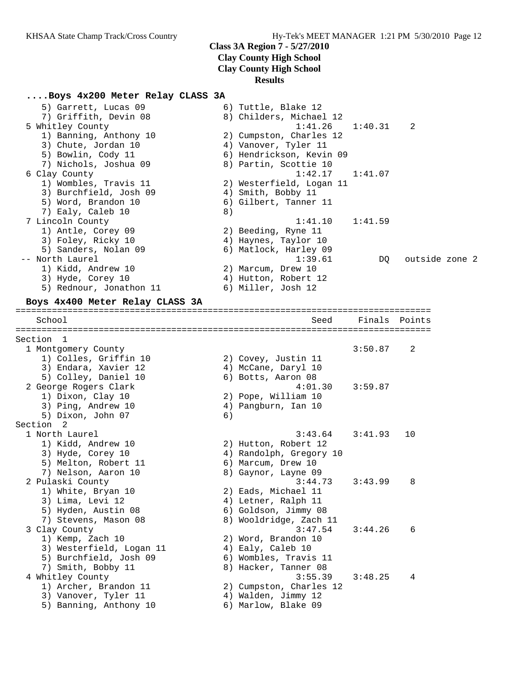# **....Boys 4x200 Meter Relay CLASS 3A**

| 5) Garrett, Lucas 09<br>7) Griffith, Devin 08<br>5 Whitley County<br>1) Banning, Anthony 10<br>3) Chute, Jordan 10<br>5) Bowlin, Cody 11<br>7) Nichols, Joshua 09<br>6 Clay County<br>1) Wombles, Travis 11<br>3) Burchfield, Josh 09<br>5) Word, Brandon 10<br>7) Ealy, Caleb 10<br>7 Lincoln County | 8) | 6) Tuttle, Blake 12<br>8) Childers, Michael 12<br>1:41.26<br>2) Cumpston, Charles 12<br>4) Vanover, Tyler 11<br>6) Hendrickson, Kevin 09<br>8) Partin, Scottie 10<br>1:42.17<br>2) Westerfield, Logan 11<br>4) Smith, Bobby 11<br>6) Gilbert, Tanner 11<br>1:41.10 | 1:40.31<br>1:41.07<br>1:41.59 | 2              |
|-------------------------------------------------------------------------------------------------------------------------------------------------------------------------------------------------------------------------------------------------------------------------------------------------------|----|--------------------------------------------------------------------------------------------------------------------------------------------------------------------------------------------------------------------------------------------------------------------|-------------------------------|----------------|
| 1) Antle, Corey 09<br>3) Foley, Ricky 10<br>5) Sanders, Nolan 09<br>-- North Laurel<br>1) Kidd, Andrew 10<br>3) Hyde, Corey 10<br>5) Rednour, Jonathon 11<br>Boys 4x400 Meter Relay CLASS 3A                                                                                                          |    | 2) Beeding, Ryne 11<br>4) Haynes, Taylor 10<br>6) Matlock, Harley 09<br>1:39.61<br>2) Marcum, Drew 10<br>4) Hutton, Robert 12<br>6) Miller, Josh 12                                                                                                                | DQ                            | outside zone 2 |
| School                                                                                                                                                                                                                                                                                                |    | Seed                                                                                                                                                                                                                                                               | Finals                        | Points         |
| Section 1<br>1 Montgomery County<br>1) Colles, Griffin 10<br>3) Endara, Xavier 12<br>5) Colley, Daniel 10<br>2 George Rogers Clark<br>1) Dixon, Clay 10<br>3) Ping, Andrew 10<br>5) Dixon, John 07<br>Section 2                                                                                       | 6) | 2) Covey, Justin 11<br>4) McCane, Daryl 10<br>6) Botts, Aaron 08<br>4:01.30<br>2) Pope, William 10<br>4) Pangburn, Ian 10                                                                                                                                          | 3:50.87<br>3:59.87            | 2              |
| 1 North Laurel<br>1) Kidd, Andrew 10<br>3) Hyde, Corey 10<br>5) Melton, Robert 11<br>7) Nelson, Aaron 10                                                                                                                                                                                              |    | 3:43.64<br>2) Hutton, Robert 12<br>4) Randolph, Gregory 10<br>6) Marcum, Drew 10<br>8) Gaynor, Layne 09                                                                                                                                                            | 3:41.93                       | 10             |
| 2 Pulaski County<br>1) White, Bryan 10<br>3) Lima, Levi 12<br>5) Hyden, Austin 08<br>7) Stevens, Mason 08                                                                                                                                                                                             |    | 3:44.73<br>2) Eads, Michael 11<br>4) Letner, Ralph 11<br>6) Goldson, Jimmy 08<br>8) Wooldridge, Zach 11                                                                                                                                                            | 3:43.99                       | 8              |
| 3 Clay County<br>1) Kemp, Zach 10<br>3) Westerfield, Logan 11<br>5) Burchfield, Josh 09<br>7) Smith, Bobby 11                                                                                                                                                                                         |    | 3:47.54<br>2) Word, Brandon 10<br>4) Ealy, Caleb 10<br>6) Wombles, Travis 11<br>8) Hacker, Tanner 08                                                                                                                                                               | 3:44.26                       | 6              |
| 4 Whitley County<br>1) Archer, Brandon 11<br>3) Vanover, Tyler 11<br>5) Banning, Anthony 10                                                                                                                                                                                                           |    | 3:55.39<br>2) Cumpston, Charles 12<br>4) Walden, Jimmy 12<br>6) Marlow, Blake 09                                                                                                                                                                                   | 3:48.25                       | 4              |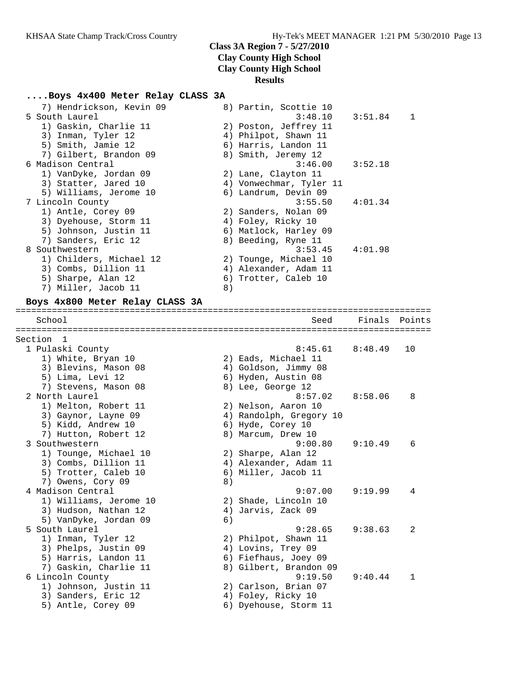## **....Boys 4x400 Meter Relay CLASS 3A**

| 7) Hendrickson, Kevin 09        |    | 8) Partin, Scottie 10   |         |        |
|---------------------------------|----|-------------------------|---------|--------|
| 5 South Laurel                  |    | 3:48.10                 | 3:51.84 | 1      |
| 1) Gaskin, Charlie 11           |    | 2) Poston, Jeffrey 11   |         |        |
| 3) Inman, Tyler 12              |    | 4) Philpot, Shawn 11    |         |        |
| 5) Smith, Jamie 12              |    | 6) Harris, Landon 11    |         |        |
| 7) Gilbert, Brandon 09          |    | 8) Smith, Jeremy 12     |         |        |
| 6 Madison Central               |    | 3:46.00                 | 3:52.18 |        |
| 1) VanDyke, Jordan 09           |    | 2) Lane, Clayton 11     |         |        |
| 3) Statter, Jared 10            |    | 4) Vonwechmar, Tyler 11 |         |        |
| 5) Williams, Jerome 10          |    | 6) Landrum, Devin 09    |         |        |
| 7 Lincoln County                |    | 3:55.50                 | 4:01.34 |        |
| 1) Antle, Corey 09              |    | 2) Sanders, Nolan 09    |         |        |
| 3) Dyehouse, Storm 11           |    | 4) Foley, Ricky 10      |         |        |
| 5) Johnson, Justin 11           |    | 6) Matlock, Harley 09   |         |        |
| 7) Sanders, Eric 12             |    | 8) Beeding, Ryne 11     |         |        |
| 8 Southwestern                  |    | 3:53.45                 | 4:01.98 |        |
| 1) Childers, Michael 12         |    |                         |         |        |
|                                 |    | 2) Tounge, Michael 10   |         |        |
| 3) Combs, Dillion 11            |    | 4) Alexander, Adam 11   |         |        |
| 5) Sharpe, Alan 12              |    | 6) Trotter, Caleb 10    |         |        |
| 7) Miller, Jacob 11             | 8) |                         |         |        |
| Boys 4x800 Meter Relay CLASS 3A |    |                         |         |        |
| School                          |    | Seed                    | Finals  | Points |
|                                 |    |                         |         |        |
| Section<br>$\mathbf{1}$         |    |                         |         |        |
| 1 Pulaski County                |    | 8:45.61                 | 8:48.49 | 10     |
| 1) White, Bryan 10              |    | 2) Eads, Michael 11     |         |        |
| 3) Blevins, Mason 08            |    | 4) Goldson, Jimmy 08    |         |        |
| 5) Lima, Levi 12                |    | 6) Hyden, Austin 08     |         |        |
| 7) Stevens, Mason 08            |    | 8) Lee, George 12       |         |        |
| 2 North Laurel                  |    | 8:57.02                 | 8:58.06 | 8      |
| 1) Melton, Robert 11            |    | 2) Nelson, Aaron 10     |         |        |
| 3) Gaynor, Layne 09             |    | 4) Randolph, Gregory 10 |         |        |
| 5) Kidd, Andrew 10              |    | 6) Hyde, Corey 10       |         |        |
| 7) Hutton, Robert 12            |    | 8) Marcum, Drew 10      |         |        |
| 3 Southwestern                  |    | 9:00.80                 | 9:10.49 | 6      |
| 1) Tounge, Michael 10           |    | 2) Sharpe, Alan 12      |         |        |
| 3) Combs, Dillion 11            |    | 4) Alexander, Adam 11   |         |        |
| 5) Trotter, Caleb 10            |    | 6) Miller, Jacob 11     |         |        |
| 7) Owens, Cory 09               | 8) |                         |         |        |
| 4 Madison Central               |    | 9:07.00                 | 9:19.99 |        |
| 1) Williams, Jerome 10          |    | 2) Shade, Lincoln 10    |         |        |
| 3) Hudson, Nathan 12            |    | 4) Jarvis, Zack 09      |         |        |
| 5) VanDyke, Jordan 09           | 6) |                         |         |        |
| 5 South Laurel                  |    | 9:28.65                 | 9:38.63 | 2      |
| 1) Inman, Tyler 12              |    | 2) Philpot, Shawn 11    |         |        |
| 3) Phelps, Justin 09            |    | 4) Lovins, Trey 09      |         |        |
| 5) Harris, Landon 11            |    | 6) Fiefhaus, Joey 09    |         |        |
| 7) Gaskin, Charlie 11           |    | 8) Gilbert, Brandon 09  |         |        |
| 6 Lincoln County                |    | 9:19.50                 | 9:40.44 | 1      |
| 1) Johnson, Justin 11           |    | 2) Carlson, Brian 07    |         |        |
| 3) Sanders, Eric 12             |    | 4) Foley, Ricky 10      |         |        |
| 5) Antle, Corey 09              |    | 6) Dyehouse, Storm 11   |         |        |
|                                 |    |                         |         |        |